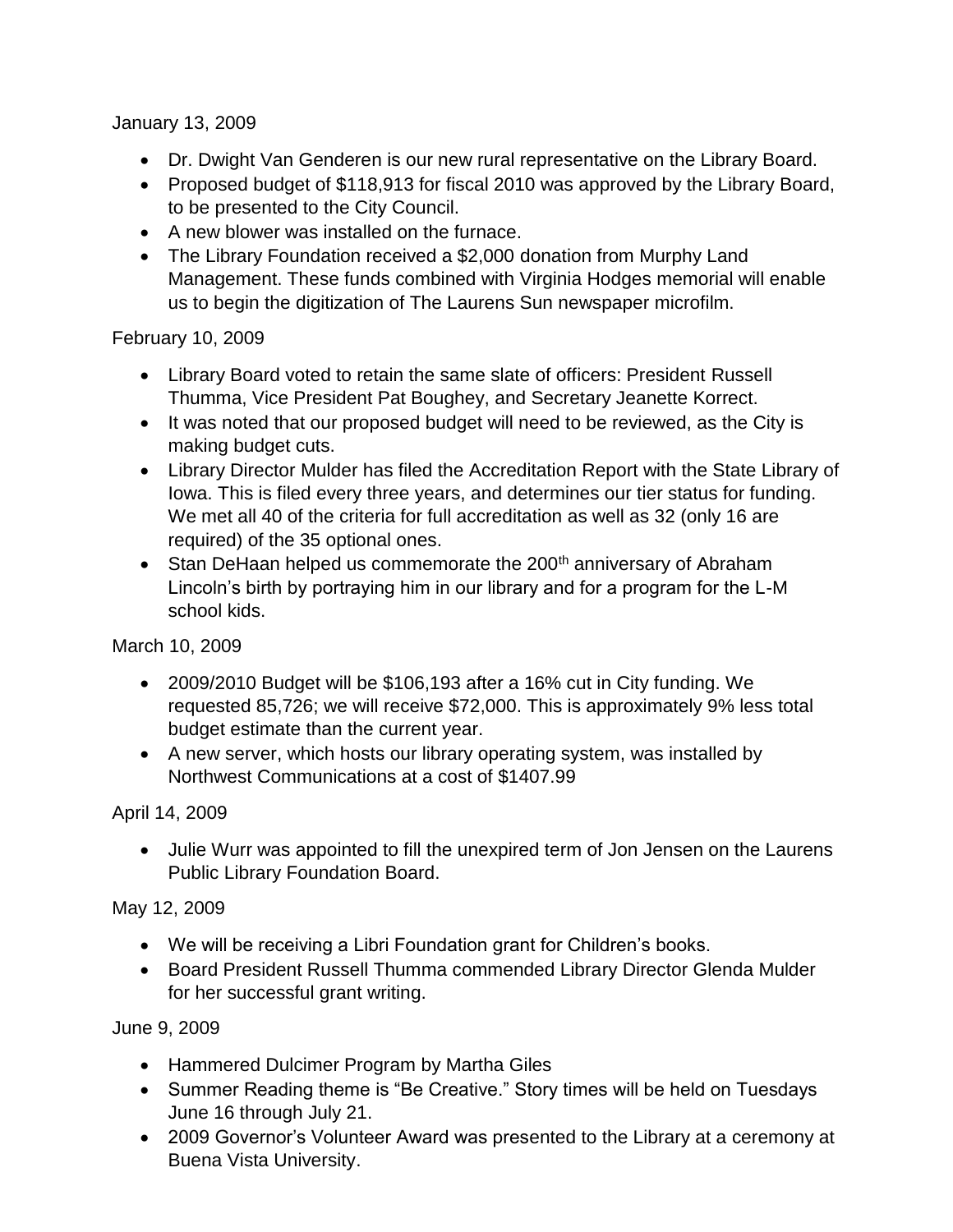January 13, 2009

- Dr. Dwight Van Genderen is our new rural representative on the Library Board.
- Proposed budget of \$118,913 for fiscal 2010 was approved by the Library Board, to be presented to the City Council.
- A new blower was installed on the furnace.
- The Library Foundation received a \$2,000 donation from Murphy Land Management. These funds combined with Virginia Hodges memorial will enable us to begin the digitization of The Laurens Sun newspaper microfilm.

February 10, 2009

- Library Board voted to retain the same slate of officers: President Russell Thumma, Vice President Pat Boughey, and Secretary Jeanette Korrect.
- It was noted that our proposed budget will need to be reviewed, as the City is making budget cuts.
- Library Director Mulder has filed the Accreditation Report with the State Library of Iowa. This is filed every three years, and determines our tier status for funding. We met all 40 of the criteria for full accreditation as well as 32 (only 16 are required) of the 35 optional ones.
- Stan DeHaan helped us commemorate the 200<sup>th</sup> anniversary of Abraham Lincoln's birth by portraying him in our library and for a program for the L-M school kids.

March 10, 2009

- 2009/2010 Budget will be \$106,193 after a 16% cut in City funding. We requested 85,726; we will receive \$72,000. This is approximately 9% less total budget estimate than the current year.
- A new server, which hosts our library operating system, was installed by Northwest Communications at a cost of \$1407.99

April 14, 2009

 Julie Wurr was appointed to fill the unexpired term of Jon Jensen on the Laurens Public Library Foundation Board.

May 12, 2009

- We will be receiving a Libri Foundation grant for Children's books.
- Board President Russell Thumma commended Library Director Glenda Mulder for her successful grant writing.

June 9, 2009

- Hammered Dulcimer Program by Martha Giles
- Summer Reading theme is "Be Creative." Story times will be held on Tuesdays June 16 through July 21.
- 2009 Governor's Volunteer Award was presented to the Library at a ceremony at Buena Vista University.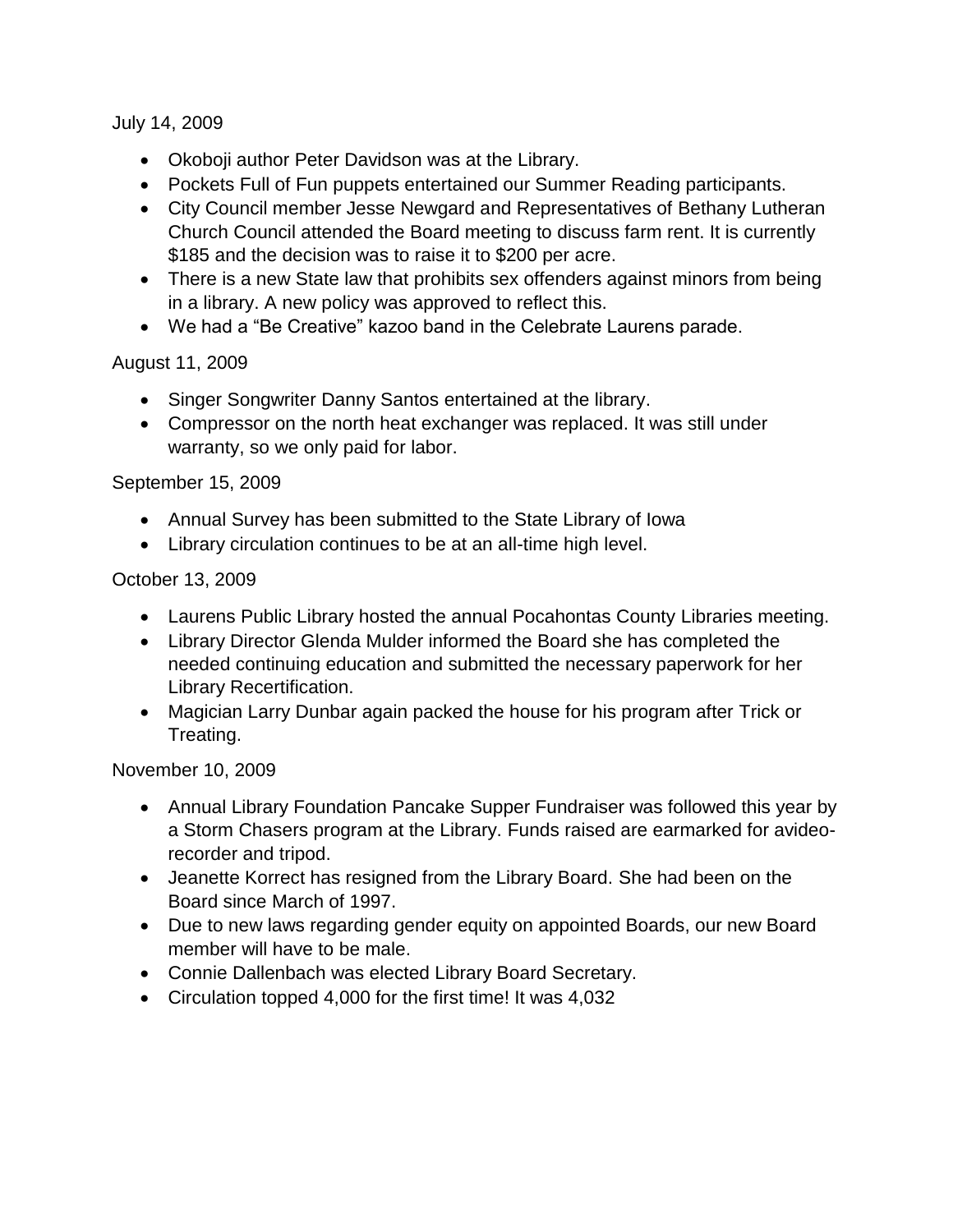July 14, 2009

- Okoboji author Peter Davidson was at the Library.
- Pockets Full of Fun puppets entertained our Summer Reading participants.
- City Council member Jesse Newgard and Representatives of Bethany Lutheran Church Council attended the Board meeting to discuss farm rent. It is currently \$185 and the decision was to raise it to \$200 per acre.
- There is a new State law that prohibits sex offenders against minors from being in a library. A new policy was approved to reflect this.
- We had a "Be Creative" kazoo band in the Celebrate Laurens parade.

August 11, 2009

- Singer Songwriter Danny Santos entertained at the library.
- Compressor on the north heat exchanger was replaced. It was still under warranty, so we only paid for labor.

September 15, 2009

- Annual Survey has been submitted to the State Library of Iowa
- Library circulation continues to be at an all-time high level.

## October 13, 2009

- Laurens Public Library hosted the annual Pocahontas County Libraries meeting.
- Library Director Glenda Mulder informed the Board she has completed the needed continuing education and submitted the necessary paperwork for her Library Recertification.
- Magician Larry Dunbar again packed the house for his program after Trick or Treating.

November 10, 2009

- Annual Library Foundation Pancake Supper Fundraiser was followed this year by a Storm Chasers program at the Library. Funds raised are earmarked for avideorecorder and tripod.
- Jeanette Korrect has resigned from the Library Board. She had been on the Board since March of 1997.
- Due to new laws regarding gender equity on appointed Boards, our new Board member will have to be male.
- Connie Dallenbach was elected Library Board Secretary.
- Circulation topped 4,000 for the first time! It was 4,032